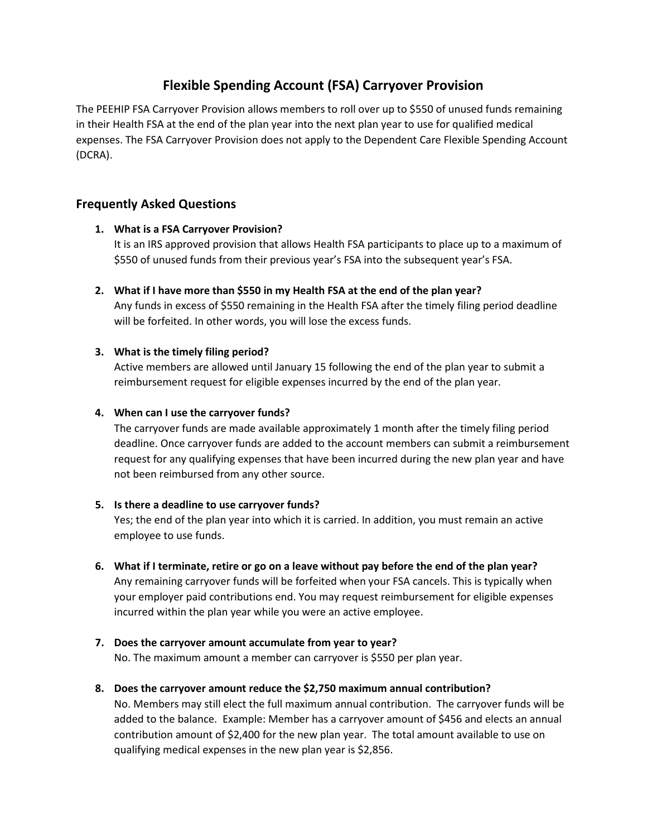# **Flexible Spending Account (FSA) Carryover Provision**

The PEEHIP FSA Carryover Provision allows members to roll over up to \$550 of unused funds remaining in their Health FSA at the end of the plan year into the next plan year to use for qualified medical expenses. The FSA Carryover Provision does not apply to the Dependent Care Flexible Spending Account (DCRA).

# **Frequently Asked Questions**

# **1. What is a FSA Carryover Provision?**

It is an IRS approved provision that allows Health FSA participants to place up to a maximum of \$550 of unused funds from their previous year's FSA into the subsequent year's FSA.

**2. What if I have more than \$550 in my Health FSA at the end of the plan year?** 

Any funds in excess of \$550 remaining in the Health FSA after the timely filing period deadline will be forfeited. In other words, you will lose the excess funds.

#### **3. What is the timely filing period?**

Active members are allowed until January 15 following the end of the plan year to submit a reimbursement request for eligible expenses incurred by the end of the plan year.

### **4. When can I use the carryover funds?**

The carryover funds are made available approximately 1 month after the timely filing period deadline. Once carryover funds are added to the account members can submit a reimbursement request for any qualifying expenses that have been incurred during the new plan year and have not been reimbursed from any other source.

# **5. Is there a deadline to use carryover funds?**

Yes; the end of the plan year into which it is carried. In addition, you must remain an active employee to use funds.

- **6. What if I terminate, retire or go on a leave without pay before the end of the plan year?**  Any remaining carryover funds will be forfeited when your FSA cancels. This is typically when your employer paid contributions end. You may request reimbursement for eligible expenses incurred within the plan year while you were an active employee.
- **7. Does the carryover amount accumulate from year to year?** No. The maximum amount a member can carryover is \$550 per plan year.
- **8. Does the carryover amount reduce the \$2,750 maximum annual contribution?**

No. Members may still elect the full maximum annual contribution. The carryover funds will be added to the balance. Example: Member has a carryover amount of \$456 and elects an annual contribution amount of \$2,400 for the new plan year. The total amount available to use on qualifying medical expenses in the new plan year is \$2,856.